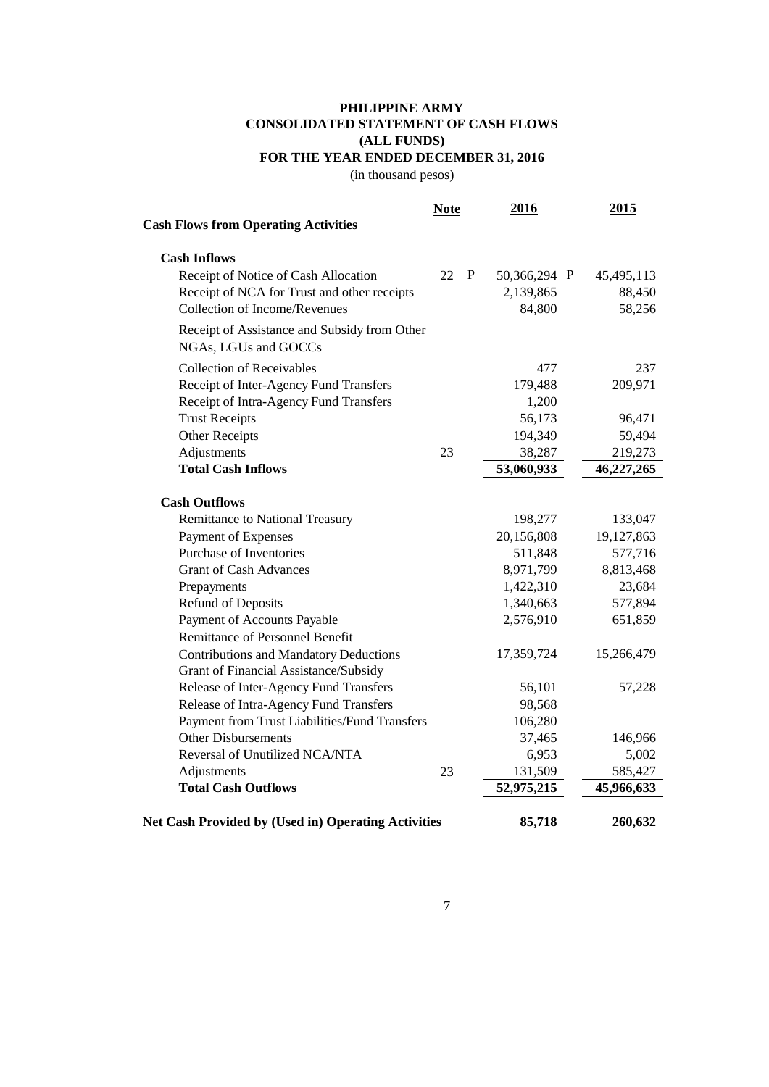## **PHILIPPINE ARMY CONSOLIDATED STATEMENT OF CASH FLOWS (ALL FUNDS) FOR THE YEAR ENDED DECEMBER 31, 2016**

(in thousand pesos)

| <b>Cash Flows from Operating Activities</b>                          | <b>Note</b> | 2016         | 2015       |
|----------------------------------------------------------------------|-------------|--------------|------------|
| <b>Cash Inflows</b>                                                  |             |              |            |
| Receipt of Notice of Cash Allocation                                 | 22 P        | 50,366,294 P | 45,495,113 |
| Receipt of NCA for Trust and other receipts                          |             | 2,139,865    | 88,450     |
| <b>Collection of Income/Revenues</b>                                 |             | 84,800       | 58,256     |
| Receipt of Assistance and Subsidy from Other<br>NGAs, LGUs and GOCCs |             |              |            |
| <b>Collection of Receivables</b>                                     |             | 477          | 237        |
| Receipt of Inter-Agency Fund Transfers                               |             | 179,488      | 209,971    |
| Receipt of Intra-Agency Fund Transfers                               |             | 1,200        |            |
| <b>Trust Receipts</b>                                                |             | 56,173       | 96,471     |
| <b>Other Receipts</b>                                                |             | 194,349      | 59,494     |
| Adjustments                                                          | 23          | 38,287       | 219,273    |
| <b>Total Cash Inflows</b>                                            |             | 53,060,933   | 46,227,265 |
| <b>Cash Outflows</b>                                                 |             |              |            |
| Remittance to National Treasury                                      |             | 198,277      | 133,047    |
| Payment of Expenses                                                  |             | 20,156,808   | 19,127,863 |
| <b>Purchase of Inventories</b>                                       |             | 511,848      | 577,716    |
| <b>Grant of Cash Advances</b>                                        |             | 8,971,799    | 8,813,468  |
| Prepayments                                                          |             | 1,422,310    | 23,684     |
| <b>Refund of Deposits</b>                                            |             | 1,340,663    | 577,894    |
| Payment of Accounts Payable                                          |             | 2,576,910    | 651,859    |
| <b>Remittance of Personnel Benefit</b>                               |             |              |            |
| <b>Contributions and Mandatory Deductions</b>                        |             | 17,359,724   | 15,266,479 |
| Grant of Financial Assistance/Subsidy                                |             |              |            |
| Release of Inter-Agency Fund Transfers                               |             | 56,101       | 57,228     |
| Release of Intra-Agency Fund Transfers                               |             | 98,568       |            |
| Payment from Trust Liabilities/Fund Transfers                        |             | 106,280      |            |
| <b>Other Disbursements</b>                                           |             | 37,465       | 146,966    |
| Reversal of Unutilized NCA/NTA                                       |             | 6,953        | 5,002      |
| Adjustments                                                          | 23          | 131,509      | 585,427    |
| <b>Total Cash Outflows</b>                                           |             | 52,975,215   | 45,966,633 |
| <b>Net Cash Provided by (Used in) Operating Activities</b>           |             | 85,718       | 260,632    |